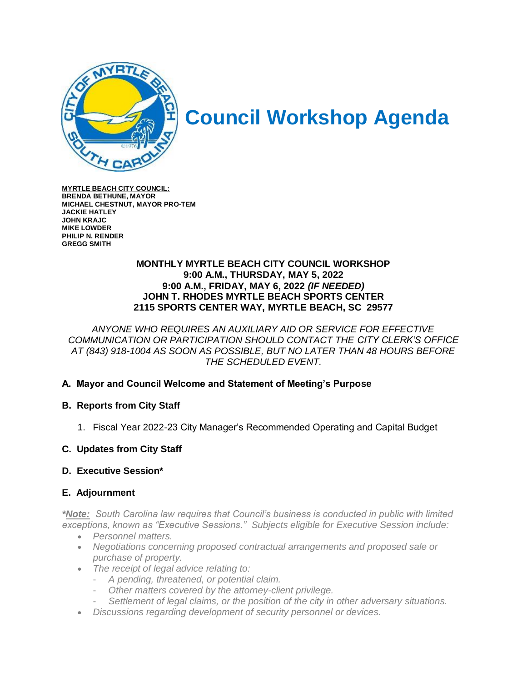

# **Council Workshop Agenda**

**MYRTLE BEACH CITY COUNCIL: BRENDA BETHUNE, MAYOR MICHAEL CHESTNUT, MAYOR PRO-TEM JACKIE HATLEY JOHN KRAJC MIKE LOWDER PHILIP N. RENDER GREGG SMITH**

#### **MONTHLY MYRTLE BEACH CITY COUNCIL WORKSHOP 9:00 A.M., THURSDAY, MAY 5, 2022 9:00 A.M., FRIDAY, MAY 6, 2022** *(IF NEEDED)* **JOHN T. RHODES MYRTLE BEACH SPORTS CENTER 2115 SPORTS CENTER WAY, MYRTLE BEACH, SC 29577**

*ANYONE WHO REQUIRES AN AUXILIARY AID OR SERVICE FOR EFFECTIVE COMMUNICATION OR PARTICIPATION SHOULD CONTACT THE CITY CLERK'S OFFICE AT (843) 918-1004 AS SOON AS POSSIBLE, BUT NO LATER THAN 48 HOURS BEFORE THE SCHEDULED EVENT.*

## **A. Mayor and Council Welcome and Statement of Meeting's Purpose**

## **B. Reports from City Staff**

- 1. Fiscal Year 2022-23 City Manager's Recommended Operating and Capital Budget
- **C. Updates from City Staff**

#### **D. Executive Session\***

## **E. Adjournment**

*\*Note: South Carolina law requires that Council's business is conducted in public with limited exceptions, known as "Executive Sessions." Subjects eligible for Executive Session include:*

- *Personnel matters.*
- *Negotiations concerning proposed contractual arrangements and proposed sale or purchase of property.*
- *The receipt of legal advice relating to:*
	- *A pending, threatened, or potential claim.*
	- *Other matters covered by the attorney-client privilege.*
	- *Settlement of legal claims, or the position of the city in other adversary situations.*
- *Discussions regarding development of security personnel or devices.*